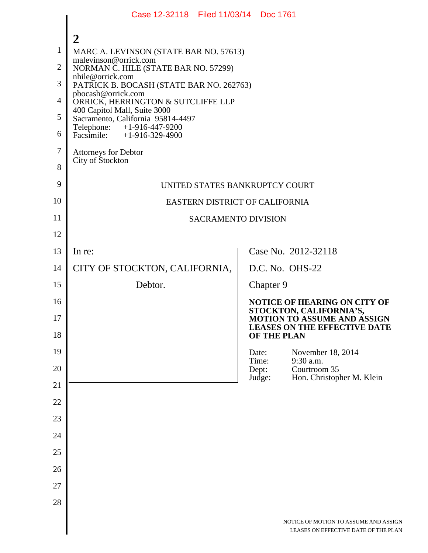|                | Case 12-32118 Filed 11/03/14 Doc 1761                                                                                         |       |                    |                                                                               |  |  |
|----------------|-------------------------------------------------------------------------------------------------------------------------------|-------|--------------------|-------------------------------------------------------------------------------|--|--|
|                | $\overline{2}$                                                                                                                |       |                    |                                                                               |  |  |
| 1              | MARC A. LEVINSON (STATE BAR NO. 57613)                                                                                        |       |                    |                                                                               |  |  |
| $\overline{2}$ | malevinson@orrick.com<br>NORMAN C. HILE (STATE BAR NO. 57299)                                                                 |       |                    |                                                                               |  |  |
| 3              | nhile@orrick.com<br>PATRICK B. BOCASH (STATE BAR NO. 262763)                                                                  |       |                    |                                                                               |  |  |
| $\overline{4}$ | pbocash@orrick.com<br>ORRICK, HERRINGTON & SUTCLIFFE LLP<br>400 Capitol Mall, Suite 3000<br>Sacramento, California 95814-4497 |       |                    |                                                                               |  |  |
| 5              |                                                                                                                               |       |                    |                                                                               |  |  |
| 6              | Telephone: $+1-916-447-9200$<br>Facsimile: $+1-916-329-4900$                                                                  |       |                    |                                                                               |  |  |
| $\overline{7}$ | <b>Attorneys for Debtor</b>                                                                                                   |       |                    |                                                                               |  |  |
| 8              | City of Stockton                                                                                                              |       |                    |                                                                               |  |  |
| 9              | UNITED STATES BANKRUPTCY COURT                                                                                                |       |                    |                                                                               |  |  |
| 10             | EASTERN DISTRICT OF CALIFORNIA                                                                                                |       |                    |                                                                               |  |  |
| 11             | <b>SACRAMENTO DIVISION</b>                                                                                                    |       |                    |                                                                               |  |  |
| 12             |                                                                                                                               |       |                    |                                                                               |  |  |
| 13             | In re:                                                                                                                        |       |                    | Case No. 2012-32118                                                           |  |  |
| 14             | CITY OF STOCKTON, CALIFORNIA,                                                                                                 |       |                    | D.C. No. OHS-22                                                               |  |  |
| 15             | Debtor.                                                                                                                       |       | Chapter 9          |                                                                               |  |  |
| 16             |                                                                                                                               |       |                    | <b>NOTICE OF HEARING ON CITY OF</b><br>STOCKTON, CALIFORNIA'S,                |  |  |
| 17<br>18       |                                                                                                                               |       | <b>OF THE PLAN</b> | <b>MOTION TO ASSUME AND ASSIGN</b><br><b>LEASES ON THE EFFECTIVE DATE</b>     |  |  |
| 19             |                                                                                                                               | Date: |                    | November 18, 2014                                                             |  |  |
| 20             |                                                                                                                               | Dept: | Time:              | 9:30 a.m.<br>Courtroom 35                                                     |  |  |
| 21             |                                                                                                                               |       | Judge:             | Hon. Christopher M. Klein                                                     |  |  |
| 22             |                                                                                                                               |       |                    |                                                                               |  |  |
| 23             |                                                                                                                               |       |                    |                                                                               |  |  |
| 24             |                                                                                                                               |       |                    |                                                                               |  |  |
| 25             |                                                                                                                               |       |                    |                                                                               |  |  |
| 26             |                                                                                                                               |       |                    |                                                                               |  |  |
| 27             |                                                                                                                               |       |                    |                                                                               |  |  |
| 28             |                                                                                                                               |       |                    |                                                                               |  |  |
|                |                                                                                                                               |       |                    | NOTICE OF MOTION TO ASSUME AND ASSIGN<br>LEASES ON EFFECTIVE DATE OF THE PLAN |  |  |